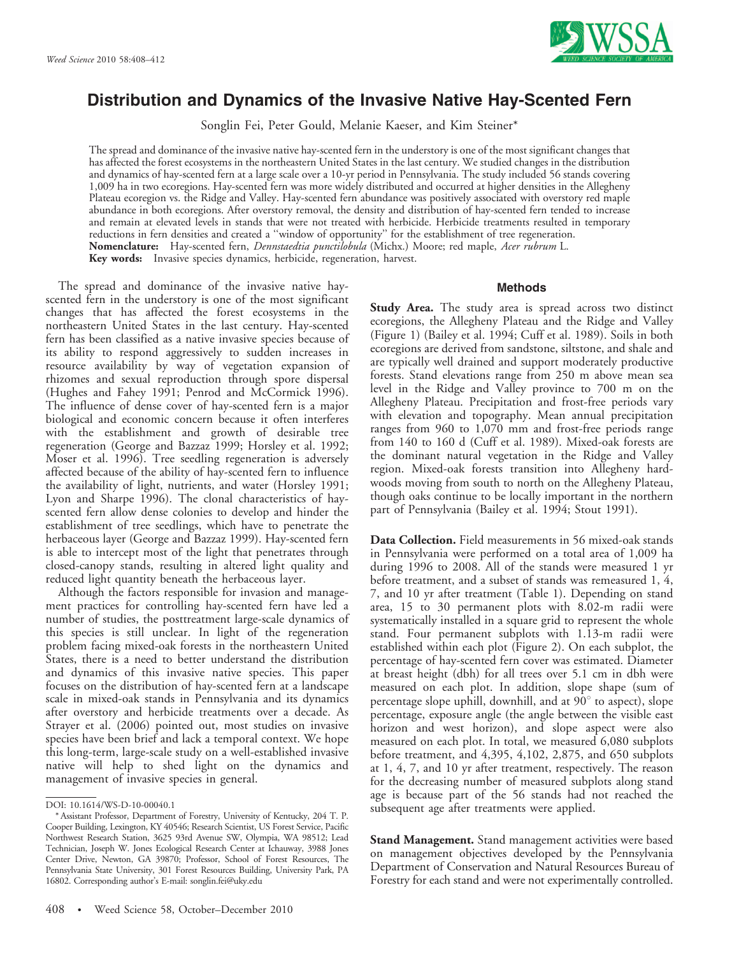

# Distribution and Dynamics of the Invasive Native Hay-Scented Fern

Songlin Fei, Peter Gould, Melanie Kaeser, and Kim Steiner\*

The spread and dominance of the invasive native hay-scented fern in the understory is one of the most significant changes that has affected the forest ecosystems in the northeastern United States in the last century. We studied changes in the distribution and dynamics of hay-scented fern at a large scale over a 10-yr period in Pennsylvania. The study included 56 stands covering 1,009 ha in two ecoregions. Hay-scented fern was more widely distributed and occurred at higher densities in the Allegheny Plateau ecoregion vs. the Ridge and Valley. Hay-scented fern abundance was positively associated with overstory red maple abundance in both ecoregions. After overstory removal, the density and distribution of hay-scented fern tended to increase and remain at elevated levels in stands that were not treated with herbicide. Herbicide treatments resulted in temporary reductions in fern densities and created a ''window of opportunity'' for the establishment of tree regeneration. Nomenclature: Hay-scented fern, *Dennstaedtia punctilobula* (Michx.) Moore; red maple, Acer rubrum L. Key words: Invasive species dynamics, herbicide, regeneration, harvest.

The spread and dominance of the invasive native hayscented fern in the understory is one of the most significant changes that has affected the forest ecosystems in the northeastern United States in the last century. Hay-scented fern has been classified as a native invasive species because of its ability to respond aggressively to sudden increases in resource availability by way of vegetation expansion of rhizomes and sexual reproduction through spore dispersal (Hughes and Fahey 1991; Penrod and McCormick 1996). The influence of dense cover of hay-scented fern is a major biological and economic concern because it often interferes with the establishment and growth of desirable tree regeneration (George and Bazzaz 1999; Horsley et al. 1992; Moser et al. 1996). Tree seedling regeneration is adversely affected because of the ability of hay-scented fern to influence the availability of light, nutrients, and water (Horsley 1991; Lyon and Sharpe 1996). The clonal characteristics of hayscented fern allow dense colonies to develop and hinder the establishment of tree seedlings, which have to penetrate the herbaceous layer (George and Bazzaz 1999). Hay-scented fern is able to intercept most of the light that penetrates through closed-canopy stands, resulting in altered light quality and reduced light quantity beneath the herbaceous layer.

Although the factors responsible for invasion and management practices for controlling hay-scented fern have led a number of studies, the posttreatment large-scale dynamics of this species is still unclear. In light of the regeneration problem facing mixed-oak forests in the northeastern United States, there is a need to better understand the distribution and dynamics of this invasive native species. This paper focuses on the distribution of hay-scented fern at a landscape scale in mixed-oak stands in Pennsylvania and its dynamics after overstory and herbicide treatments over a decade. As Strayer et al. (2006) pointed out, most studies on invasive species have been brief and lack a temporal context. We hope this long-term, large-scale study on a well-established invasive native will help to shed light on the dynamics and management of invasive species in general.

### **Methods**

**Study Area.** The study area is spread across two distinct ecoregions, the Allegheny Plateau and the Ridge and Valley (Figure 1) (Bailey et al. 1994; Cuff et al. 1989). Soils in both ecoregions are derived from sandstone, siltstone, and shale and are typically well drained and support moderately productive forests. Stand elevations range from 250 m above mean sea level in the Ridge and Valley province to 700 m on the Allegheny Plateau. Precipitation and frost-free periods vary with elevation and topography. Mean annual precipitation ranges from 960 to 1,070 mm and frost-free periods range from 140 to 160 d (Cuff et al. 1989). Mixed-oak forests are the dominant natural vegetation in the Ridge and Valley region. Mixed-oak forests transition into Allegheny hardwoods moving from south to north on the Allegheny Plateau, though oaks continue to be locally important in the northern part of Pennsylvania (Bailey et al. 1994; Stout 1991).

Data Collection. Field measurements in 56 mixed-oak stands in Pennsylvania were performed on a total area of 1,009 ha during 1996 to 2008. All of the stands were measured 1 yr before treatment, and a subset of stands was remeasured 1, 4, 7, and 10 yr after treatment (Table 1). Depending on stand area, 15 to 30 permanent plots with 8.02-m radii were systematically installed in a square grid to represent the whole stand. Four permanent subplots with 1.13-m radii were established within each plot (Figure 2). On each subplot, the percentage of hay-scented fern cover was estimated. Diameter at breast height (dbh) for all trees over 5.1 cm in dbh were measured on each plot. In addition, slope shape (sum of percentage slope uphill, downhill, and at  $90^\circ$  to aspect), slope percentage, exposure angle (the angle between the visible east horizon and west horizon), and slope aspect were also measured on each plot. In total, we measured 6,080 subplots before treatment, and 4,395, 4,102, 2,875, and 650 subplots at 1, 4, 7, and 10 yr after treatment, respectively. The reason for the decreasing number of measured subplots along stand age is because part of the 56 stands had not reached the subsequent age after treatments were applied.

**Stand Management.** Stand management activities were based on management objectives developed by the Pennsylvania Department of Conservation and Natural Resources Bureau of Forestry for each stand and were not experimentally controlled.

DOI: 10.1614/WS-D-10-00040.1

<sup>\*</sup> Assistant Professor, Department of Forestry, University of Kentucky, 204 T. P. Cooper Building, Lexington, KY 40546; Research Scientist, US Forest Service, Pacific Northwest Research Station, 3625 93rd Avenue SW, Olympia, WA 98512; Lead Technician, Joseph W. Jones Ecological Research Center at Ichauway, 3988 Jones Center Drive, Newton, GA 39870; Professor, School of Forest Resources, The Pennsylvania State University, 301 Forest Resources Building, University Park, PA 16802. Corresponding author's E-mail: songlin.fei@uky.edu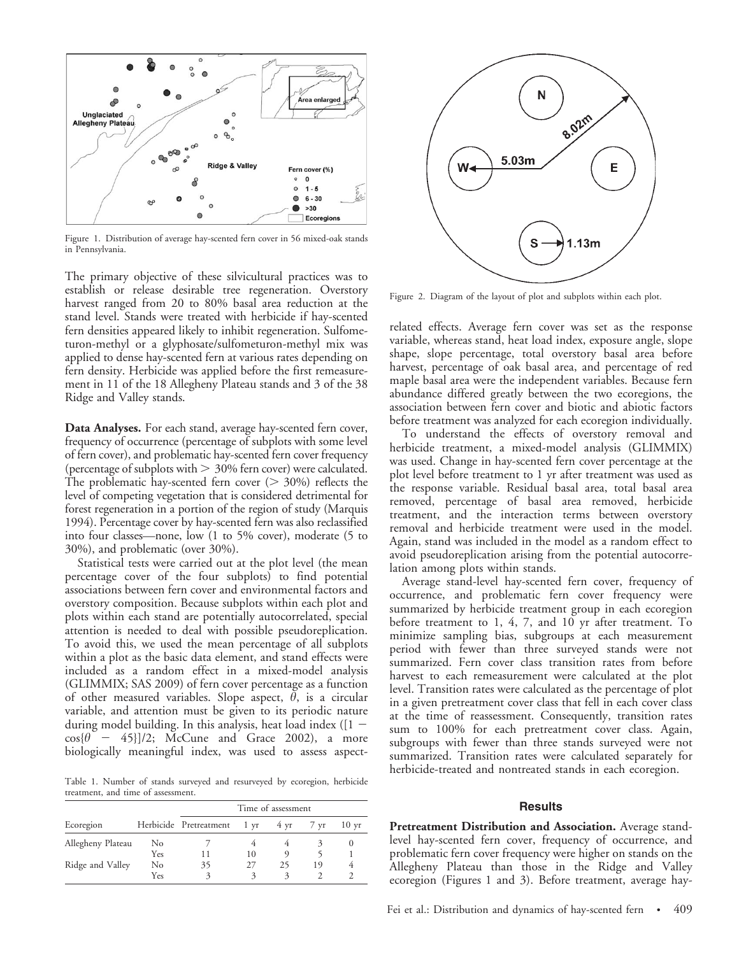

Figure 1. Distribution of average hay-scented fern cover in 56 mixed-oak stands in Pennsylvania.

The primary objective of these silvicultural practices was to establish or release desirable tree regeneration. Overstory harvest ranged from 20 to 80% basal area reduction at the stand level. Stands were treated with herbicide if hay-scented fern densities appeared likely to inhibit regeneration. Sulfometuron-methyl or a glyphosate/sulfometuron-methyl mix was applied to dense hay-scented fern at various rates depending on fern density. Herbicide was applied before the first remeasurement in 11 of the 18 Allegheny Plateau stands and 3 of the 38 Ridge and Valley stands.

Data Analyses. For each stand, average hay-scented fern cover, frequency of occurrence (percentage of subplots with some level of fern cover), and problematic hay-scented fern cover frequency (percentage of subplots with  $> 30\%$  fern cover) were calculated. The problematic hay-scented fern cover  $(> 30\%)$  reflects the level of competing vegetation that is considered detrimental for forest regeneration in a portion of the region of study (Marquis 1994). Percentage cover by hay-scented fern was also reclassified into four classes—none, low (1 to 5% cover), moderate (5 to 30%), and problematic (over 30%).

Statistical tests were carried out at the plot level (the mean percentage cover of the four subplots) to find potential associations between fern cover and environmental factors and overstory composition. Because subplots within each plot and plots within each stand are potentially autocorrelated, special attention is needed to deal with possible pseudoreplication. To avoid this, we used the mean percentage of all subplots within a plot as the basic data element, and stand effects were included as a random effect in a mixed-model analysis (GLIMMIX; SAS 2009) of fern cover percentage as a function of other measured variables. Slope aspect,  $\theta$ , is a circular variable, and attention must be given to its periodic nature during model building. In this analysis, heat load index ( $[1 \cos{\theta}$  – 45}]/2; McCune and Grace 2002), a more biologically meaningful index, was used to assess aspect-

Table 1. Number of stands surveyed and resurveyed by ecoregion, herbicide treatment, and time of assessment.

|                   |     | Time of assessment          |    |    |                     |                  |
|-------------------|-----|-----------------------------|----|----|---------------------|------------------|
| Ecoregion         |     | Herbicide Pretreatment 1 yr |    |    | $4 \text{ yr}$ 7 yr | 10 <sub>vr</sub> |
| Allegheny Plateau | No  |                             |    |    |                     |                  |
|                   | Yes |                             | 10 |    |                     |                  |
| Ridge and Valley  | No  | 35                          | 27 | 25 | 19                  |                  |
|                   | Yes |                             | 3  |    |                     |                  |



Figure 2. Diagram of the layout of plot and subplots within each plot.

related effects. Average fern cover was set as the response variable, whereas stand, heat load index, exposure angle, slope shape, slope percentage, total overstory basal area before harvest, percentage of oak basal area, and percentage of red maple basal area were the independent variables. Because fern abundance differed greatly between the two ecoregions, the association between fern cover and biotic and abiotic factors before treatment was analyzed for each ecoregion individually.

To understand the effects of overstory removal and herbicide treatment, a mixed-model analysis (GLIMMIX) was used. Change in hay-scented fern cover percentage at the plot level before treatment to 1 yr after treatment was used as the response variable. Residual basal area, total basal area removed, percentage of basal area removed, herbicide treatment, and the interaction terms between overstory removal and herbicide treatment were used in the model. Again, stand was included in the model as a random effect to avoid pseudoreplication arising from the potential autocorrelation among plots within stands.

Average stand-level hay-scented fern cover, frequency of occurrence, and problematic fern cover frequency were summarized by herbicide treatment group in each ecoregion before treatment to 1, 4, 7, and 10 yr after treatment. To minimize sampling bias, subgroups at each measurement period with fewer than three surveyed stands were not summarized. Fern cover class transition rates from before harvest to each remeasurement were calculated at the plot level. Transition rates were calculated as the percentage of plot in a given pretreatment cover class that fell in each cover class at the time of reassessment. Consequently, transition rates sum to 100% for each pretreatment cover class. Again, subgroups with fewer than three stands surveyed were not summarized. Transition rates were calculated separately for herbicide-treated and nontreated stands in each ecoregion.

#### **Results**

Pretreatment Distribution and Association. Average standlevel hay-scented fern cover, frequency of occurrence, and problematic fern cover frequency were higher on stands on the Allegheny Plateau than those in the Ridge and Valley ecoregion (Figures 1 and 3). Before treatment, average hay-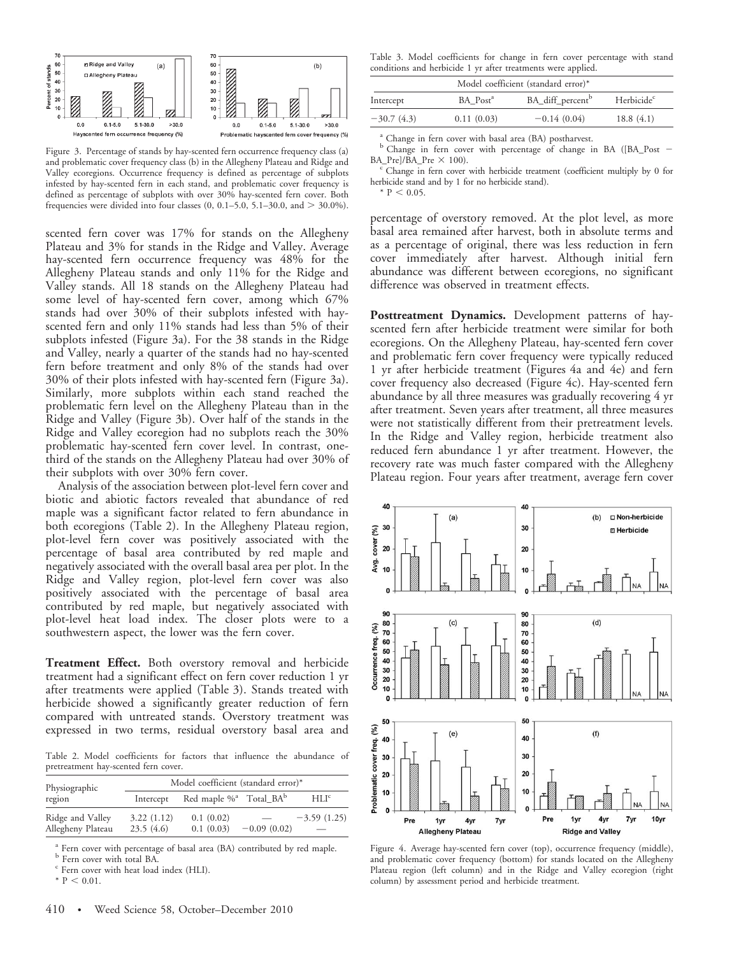

Figure 3. Percentage of stands by hay-scented fern occurrence frequency class (a) and problematic cover frequency class (b) in the Allegheny Plateau and Ridge and Valley ecoregions. Occurrence frequency is defined as percentage of subplots infested by hay-scented fern in each stand, and problematic cover frequency is defined as percentage of subplots with over 30% hay-scented fern cover. Both frequencies were divided into four classes  $(0, 0.1–5.0, 5.1–30.0,$  and  $> 30.0\%$ ).

scented fern cover was 17% for stands on the Allegheny Plateau and 3% for stands in the Ridge and Valley. Average hay-scented fern occurrence frequency was 48% for the Allegheny Plateau stands and only 11% for the Ridge and Valley stands. All 18 stands on the Allegheny Plateau had some level of hay-scented fern cover, among which 67% stands had over 30% of their subplots infested with hayscented fern and only 11% stands had less than 5% of their subplots infested (Figure 3a). For the 38 stands in the Ridge and Valley, nearly a quarter of the stands had no hay-scented fern before treatment and only 8% of the stands had over 30% of their plots infested with hay-scented fern (Figure 3a). Similarly, more subplots within each stand reached the problematic fern level on the Allegheny Plateau than in the Ridge and Valley (Figure 3b). Over half of the stands in the Ridge and Valley ecoregion had no subplots reach the 30% problematic hay-scented fern cover level. In contrast, onethird of the stands on the Allegheny Plateau had over 30% of their subplots with over 30% fern cover.

Analysis of the association between plot-level fern cover and biotic and abiotic factors revealed that abundance of red maple was a significant factor related to fern abundance in both ecoregions (Table 2). In the Allegheny Plateau region, plot-level fern cover was positively associated with the percentage of basal area contributed by red maple and negatively associated with the overall basal area per plot. In the Ridge and Valley region, plot-level fern cover was also positively associated with the percentage of basal area contributed by red maple, but negatively associated with plot-level heat load index. The closer plots were to a southwestern aspect, the lower was the fern cover.

Treatment Effect. Both overstory removal and herbicide treatment had a significant effect on fern cover reduction 1 yr after treatments were applied (Table 3). Stands treated with herbicide showed a significantly greater reduction of fern compared with untreated stands. Overstory treatment was expressed in two terms, residual overstory basal area and

Table 2. Model coefficients for factors that influence the abundance of pretreatment hay-scented fern cover.

| Physiographic     | Model coefficient (standard error)* |                                                |               |                  |  |  |
|-------------------|-------------------------------------|------------------------------------------------|---------------|------------------|--|--|
| region            | Intercept                           | Red maple % <sup>a</sup> Total_BA <sup>b</sup> |               | HLI <sup>c</sup> |  |  |
| Ridge and Valley  | 3.22(1.12)                          | 0.1(0.02)                                      |               | $-3.59(1.25)$    |  |  |
| Allegheny Plateau | 23.5(4.6)                           | 0.1(0.03)                                      | $-0.09(0.02)$ |                  |  |  |

 $^{\rm a}$  Fern cover with percentage of basal area (BA) contributed by red maple.  $^{\rm b}$  Fern cover with total BA.

 $\degree$  Fern cover with heat load index (HLI).

 $*$  P  $< 0.01$ .

Table 3. Model coefficients for change in fern cover percentage with stand conditions and herbicide 1 yr after treatments were applied.

| Model coefficient (standard error)* |                      |                              |                        |  |  |  |
|-------------------------------------|----------------------|------------------------------|------------------------|--|--|--|
| Intercept                           | BA Post <sup>a</sup> | BA_diff_percent <sup>b</sup> | Herbicide <sup>c</sup> |  |  |  |
| $-30.7(4.3)$                        | 0.11(0.03)           | $-0.14(0.04)$                | 18.8(4.1)              |  |  |  |

<sup>a</sup> Change in fern cover with basal area (BA) postharvest.

<sup>b</sup> Change in fern cover with percentage of change in BA ([BA\_Post -

 $BA_Pre]/BA_Pre \times 100$ .<br><sup>c</sup> Change in fern cover with herbicide treatment (coefficient multiply by 0 for herbicide stand and by 1 for no herbicide stand).

 $*$  P < 0.05.

percentage of overstory removed. At the plot level, as more basal area remained after harvest, both in absolute terms and as a percentage of original, there was less reduction in fern cover immediately after harvest. Although initial fern abundance was different between ecoregions, no significant difference was observed in treatment effects.

Posttreatment Dynamics. Development patterns of hayscented fern after herbicide treatment were similar for both ecoregions. On the Allegheny Plateau, hay-scented fern cover and problematic fern cover frequency were typically reduced 1 yr after herbicide treatment (Figures 4a and 4e) and fern cover frequency also decreased (Figure 4c). Hay-scented fern abundance by all three measures was gradually recovering 4 yr after treatment. Seven years after treatment, all three measures were not statistically different from their pretreatment levels. In the Ridge and Valley region, herbicide treatment also reduced fern abundance 1 yr after treatment. However, the recovery rate was much faster compared with the Allegheny Plateau region. Four years after treatment, average fern cover



Figure 4. Average hay-scented fern cover (top), occurrence frequency (middle), and problematic cover frequency (bottom) for stands located on the Allegheny Plateau region (left column) and in the Ridge and Valley ecoregion (right column) by assessment period and herbicide treatment.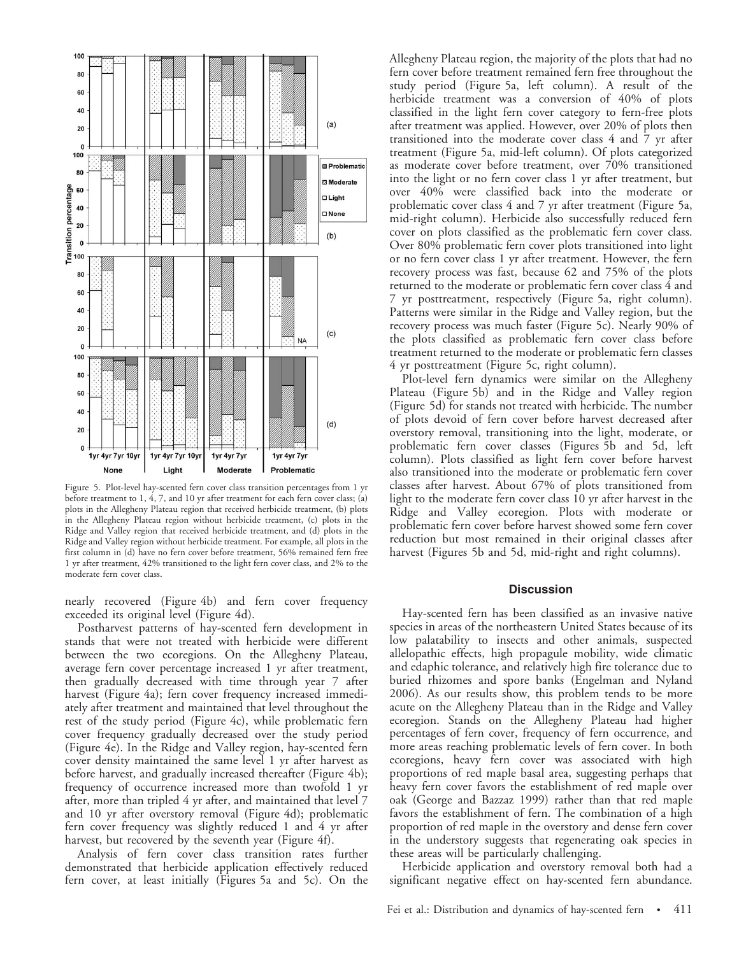

Figure 5. Plot-level hay-scented fern cover class transition percentages from 1 yr before treatment to 1, 4, 7, and 10 yr after treatment for each fern cover class; (a) plots in the Allegheny Plateau region that received herbicide treatment, (b) plots in the Allegheny Plateau region without herbicide treatment, (c) plots in the Ridge and Valley region that received herbicide treatment, and (d) plots in the Ridge and Valley region without herbicide treatment. For example, all plots in the first column in (d) have no fern cover before treatment, 56% remained fern free 1 yr after treatment, 42% transitioned to the light fern cover class, and 2% to the moderate fern cover class.

nearly recovered (Figure 4b) and fern cover frequency exceeded its original level (Figure 4d).

Postharvest patterns of hay-scented fern development in stands that were not treated with herbicide were different between the two ecoregions. On the Allegheny Plateau, average fern cover percentage increased 1 yr after treatment, then gradually decreased with time through year 7 after harvest (Figure 4a); fern cover frequency increased immediately after treatment and maintained that level throughout the rest of the study period (Figure 4c), while problematic fern cover frequency gradually decreased over the study period (Figure 4e). In the Ridge and Valley region, hay-scented fern cover density maintained the same level 1 yr after harvest as before harvest, and gradually increased thereafter (Figure 4b); frequency of occurrence increased more than twofold 1 yr after, more than tripled 4 yr after, and maintained that level 7 and 10 yr after overstory removal (Figure 4d); problematic fern cover frequency was slightly reduced 1 and 4 yr after harvest, but recovered by the seventh year (Figure 4f).

Analysis of fern cover class transition rates further demonstrated that herbicide application effectively reduced fern cover, at least initially (Figures 5a and 5c). On the Allegheny Plateau region, the majority of the plots that had no fern cover before treatment remained fern free throughout the study period (Figure 5a, left column). A result of the herbicide treatment was a conversion of 40% of plots classified in the light fern cover category to fern-free plots after treatment was applied. However, over 20% of plots then transitioned into the moderate cover class 4 and 7 yr after treatment (Figure 5a, mid-left column). Of plots categorized as moderate cover before treatment, over 70% transitioned into the light or no fern cover class 1 yr after treatment, but over 40% were classified back into the moderate or problematic cover class 4 and 7 yr after treatment (Figure 5a, mid-right column). Herbicide also successfully reduced fern cover on plots classified as the problematic fern cover class. Over 80% problematic fern cover plots transitioned into light or no fern cover class 1 yr after treatment. However, the fern recovery process was fast, because 62 and 75% of the plots returned to the moderate or problematic fern cover class 4 and 7 yr posttreatment, respectively (Figure 5a, right column). Patterns were similar in the Ridge and Valley region, but the recovery process was much faster (Figure 5c). Nearly 90% of the plots classified as problematic fern cover class before treatment returned to the moderate or problematic fern classes 4 yr posttreatment (Figure 5c, right column).

Plot-level fern dynamics were similar on the Allegheny Plateau (Figure 5b) and in the Ridge and Valley region (Figure 5d) for stands not treated with herbicide. The number of plots devoid of fern cover before harvest decreased after overstory removal, transitioning into the light, moderate, or problematic fern cover classes (Figures 5b and 5d, left column). Plots classified as light fern cover before harvest also transitioned into the moderate or problematic fern cover classes after harvest. About 67% of plots transitioned from light to the moderate fern cover class 10 yr after harvest in the Ridge and Valley ecoregion. Plots with moderate or problematic fern cover before harvest showed some fern cover reduction but most remained in their original classes after harvest (Figures 5b and 5d, mid-right and right columns).

## **Discussion**

Hay-scented fern has been classified as an invasive native species in areas of the northeastern United States because of its low palatability to insects and other animals, suspected allelopathic effects, high propagule mobility, wide climatic and edaphic tolerance, and relatively high fire tolerance due to buried rhizomes and spore banks (Engelman and Nyland 2006). As our results show, this problem tends to be more acute on the Allegheny Plateau than in the Ridge and Valley ecoregion. Stands on the Allegheny Plateau had higher percentages of fern cover, frequency of fern occurrence, and more areas reaching problematic levels of fern cover. In both ecoregions, heavy fern cover was associated with high proportions of red maple basal area, suggesting perhaps that heavy fern cover favors the establishment of red maple over oak (George and Bazzaz 1999) rather than that red maple favors the establishment of fern. The combination of a high proportion of red maple in the overstory and dense fern cover in the understory suggests that regenerating oak species in these areas will be particularly challenging.

Herbicide application and overstory removal both had a significant negative effect on hay-scented fern abundance.